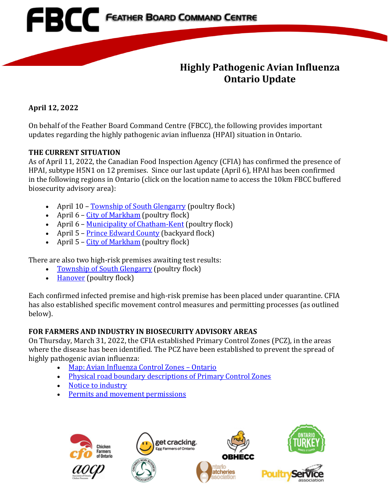

# **Highly Pathogenic Avian Influenza Ontario Update**

**April 12, 2022**

On behalf of the Feather Board Command Centre (FBCC), the following provides important updates regarding the highly pathogenic avian influenza (HPAI) situation in Ontario.

### **THE CURRENT SITUATION**

As of April 11, 2022, the Canadian Food Inspection Agency (CFIA) has confirmed the presence of HPAI, subtype H5N1 on 12 premises. Since our last update (April 6), HPAI has been confirmed in the following regions in Ontario (click on the location name to access the 10km FBCC buffered biosecurity advisory area):

- April 10 [Township of South Glengarry](https://www.fbcc.ca/hr-lancaster/public-map) (poultry flock)
- April  $6 City$  of Markham (poultry flock)
- April 6 [Municipality of Chatham-Kent](https://www.fbcc.ca/hpai-suspect2/public-map) (poultry flock)
- April 5 [Prince Edward County](https://www.fbcc.ca/high-risk-picton/public-map) (backyard flock)
- April  $5 City of Markham (poultry flock)$  $5 City of Markham (poultry flock)$  $5 City of Markham (poultry flock)$

There are also two high-risk premises awaiting test results:

- [Township of South Glengarry](https://www.fbcc.ca/hr-lancaster/public-map) (poultry flock)<br>• Hanover (poultry flock)
- [Hanover](https://www.fbcc.ca/test4/public-map) (poultry flock)

Each confirmed infected premise and high-risk premise has been placed under quarantine. CFIA has also established specific movement control measures and permitting processes (as outlined below).

# **FOR FARMERS AND INDUSTRY IN BIOSECURITY ADVISORY AREAS**

On Thursday, March 31, 2022, the CFIA established Primary Control Zones (PCZ), in the areas where the disease has been identified. The PCZ have been established to prevent the spread of highly pathogenic avian influenza:

- [Map: Avian Influenza Control Zones –](https://inspection.canada.ca/animal-health/terrestrial-animals/diseases/reportable/avian-influenza/response-to-detections-of-highly-pathogenic-avian-/ai-zones/eng/1648851134912/1648851359195) Ontario
- [Physical road boundary descriptions of Primary Control Zones](https://inspection.canada.ca/animal-health/terrestrial-animals/diseases/reportable/avian-influenza/response-to-detections-of-highly-pathogenic-avian-/eng/1640207916497/1640207916934)
- [Notice to industry](https://inspection.canada.ca/animal-health/terrestrial-animals/diseases/reportable/avian-influenza/response-to-detections-of-highly-pathogenic-avian-/2022-04-02/eng/1648912803992/1648912804367)
- [Permits and movement permissions](https://inspection.canada.ca/eng/1648871137667/1648871138011)